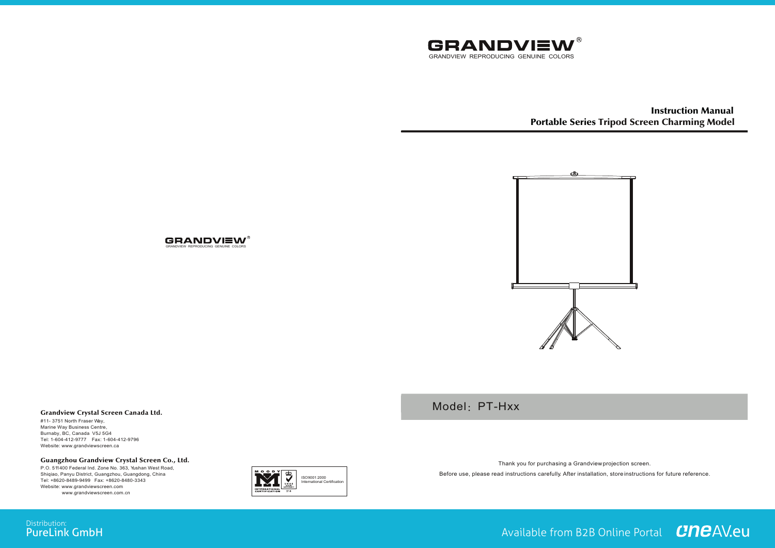

Instruction Manual Portable Series Tripod Screen Charming Model



Model: PT-Hxx



Burnaby, BC, Canada V5J 5G4 Tel: 1-604-412-9777 Fax: 1-604-412-9796 Website: www.grandviewscreen.ca

#11- 3751 North Fraser Way,

Grandview Crystal Screen Canada Ltd.

#### Guangzhou Grandview Crystal Screen Co., Ltd.

P.O. 511400 Federal Ind. Zone No. 363, Yushan West Road, Shiqiao, Panyu District, Guangzhou, Guangdong, China Tel: +8620-8489-9499 Fax: +8620-8480-3343 Website: www.grandviewscreen.com www.grandviewscreen.com.cn



Thank you for purchasing a Grandview projection screen. Before use, please read instructions carefully. After installation, store instructions for future reference.

# **GRANDVIEW**

GRANDVIEW REPRODUCING GENUINE COLORS

Available from B2B Online Portal **CNCAV.eu**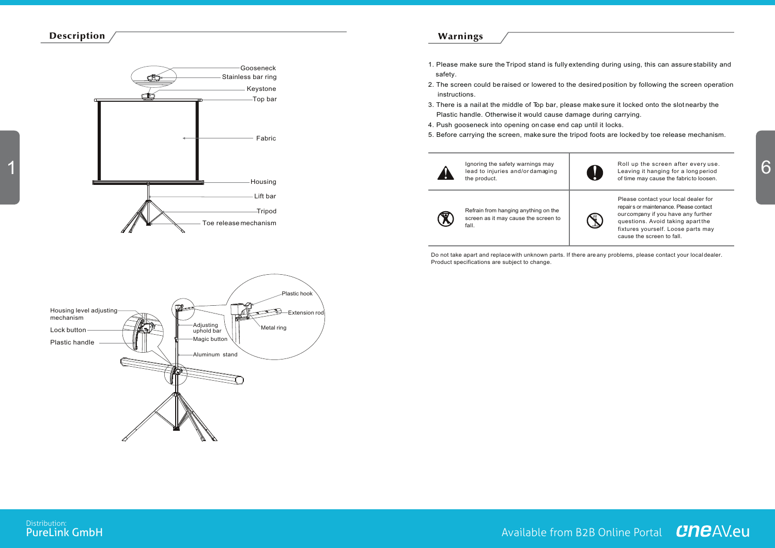### Description



## Warnings

- 1. Please make sure the Tripod stand is fully extending during using, this can assure stability and safety.
- 2. The screen could be raised or lowered to the desired position by following the screen operation instructions.
- 3. There is a nail at the middle of Top bar, please make sure it locked onto the slot nearby the Plastic handle. Otherwise it would cause damage during carrying.
- 4. Push gooseneck into opening on case end cap until it locks.
- 5. Before carrying the screen, make sure the tripod foots are locked by toe release mechanism.



Do not take apart and replace with unknown parts. If there are any problems, please contact your local dealer. Product specifications are subject to change.



Distribution:<br>**PureLink GmbH**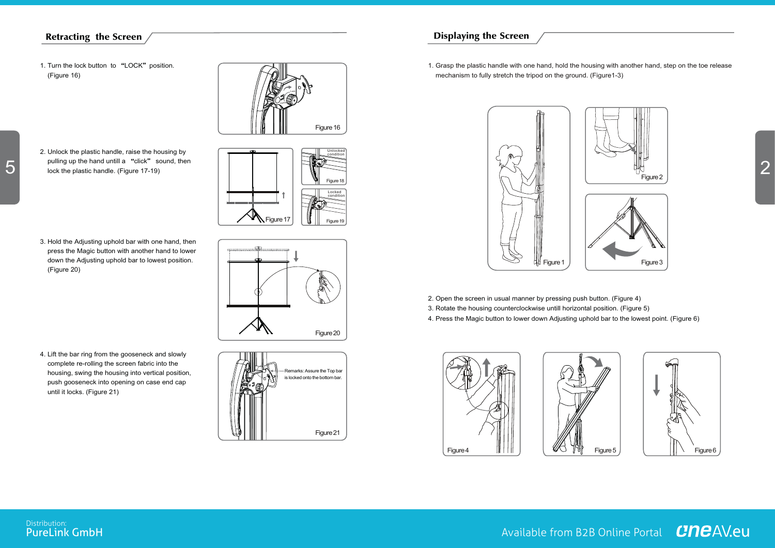## Retracting the Screen

- 1. Turn the lock button to "LOCK" position. (Figure 16)
- Lock Unlock Figure 16

Figure 17

Locked condition

Figure 19

Figure 18

Figure 20

Unlocked condition

- 
- 2. Unlock the plastic handle, raise the housing by pulling up the hand untill a "click" sound, then lock the plastic handle. (Figure 17-19)

3. Hold the Adjusting uphold bar with one hand, then press the Magic button with another hand to lower down the Adjusting uphold bar to lowest position. (Figure 20)

4. Lift the bar ring from the gooseneck and slowly complete re-rolling the screen fabric into the housing, swing the housing into vertical position, push gooseneck into opening on case end cap until it locks. (Figure 21)





1. Grasp the plastic handle with one hand, hold the housing with another hand, step on the toe release mechanism to fully stretch the tripod on the ground. (Figure1-3)



- 2. Open the screen in usual manner by pressing push button. (Figure 4)
- 3. Rotate the housing counterclockwise untill horizontal position. (Figure 5)
- 4. Press the Magic button to lower down Adjusting uphold bar to the lowest point. (Figure 6)